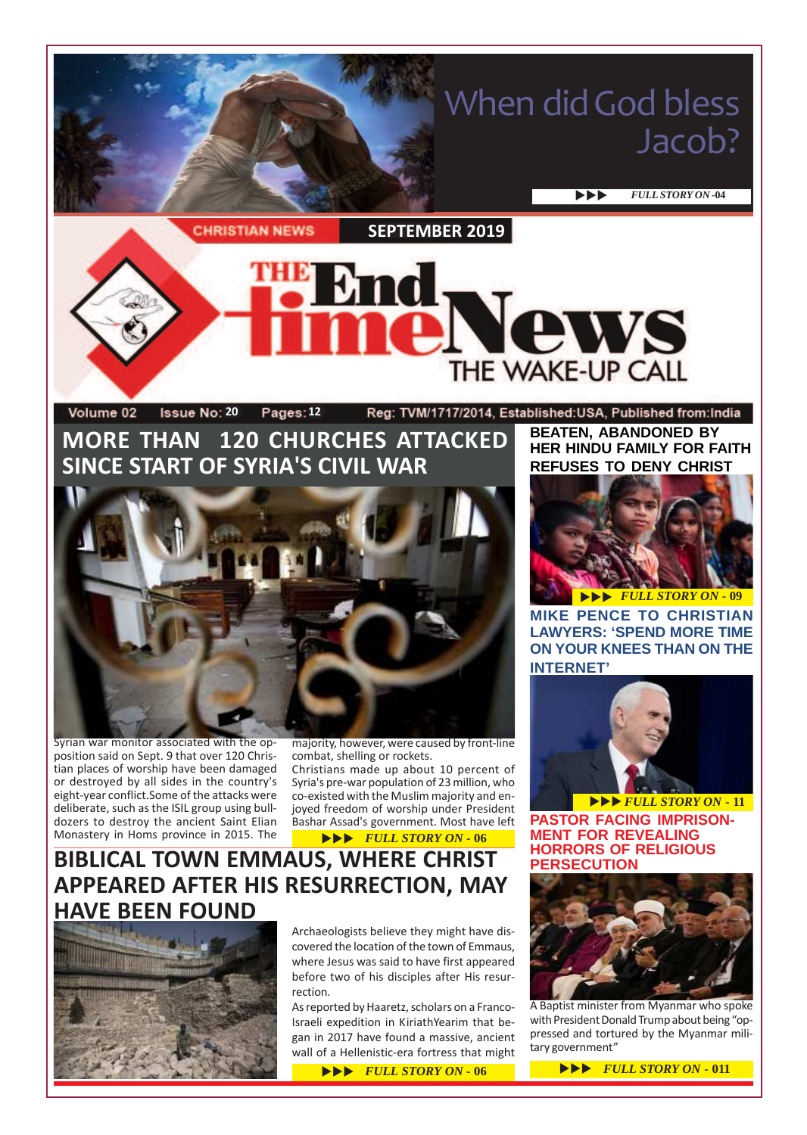# When did God bless Jacob?

**EVLL STORY ON -04** 

**CHRISTIAN NEWS** 

**SEPTEMBER 2019**

### Vews THE WAKE-UP CALL Volume 02 **1ssue No: 20 Pages: 12** Reg: TVM/1717/2014, Established:USA, Published from:India

# **MORE THAN 120 CHURCHES ATTACKED SINCE START OF SYRIA'S CIVIL WAR**



Syrian war monitor associated with the opposition said on Sept. 9 that over 120 Christian places of worship have been damaged or destroyed by all sides in the country's eight-year conflict.Some of the attacks were deliberate, such as the ISIL group using bulldozers to destroy the ancient Saint Elian Monastery in Homs province in 2015. The

majority, however, were caused by front-line combat, shelling or rockets.

Christians made up about 10 percent of Syria's pre-war population of 23 million, who co-existed with the Muslim majority and enjoyed freedom of worship under President Bashar Assad's government. Most have left

### **EVEL STORY ON - 06**

### **BIBLICAL TOWN EMMAUS, WHERE CHRIST APPEARED AFTER HIS RESURRECTION, MAY HAVE BEEN FOUND**



Archaeologists believe they might have discovered the location of the town of Emmaus, where Jesus was said to have first appeared before two of his disciples after His resurrection.

As reported by Haaretz, scholars on a Franco-Israeli expedition in KiriathYearim that began in 2017 have found a massive, ancient wall of a Hellenistic-era fortress that might

# **REFUSES TO DENY CHRIST**

**HER HINDU FAMILY FOR FAITH**

**BEATEN, ABANDONED BY**

uuu *FULL STORY ON* **- 09 MIKE PENCE TO CHRISTIAN LAWYERS: 'SPEND MORE TIME ON YOUR KNEES THAN ON THE INTERNET'**



**PASTOR FACING IMPRISON-MENT FOR REVEALING HORRORS OF RELIGIOUS PERSECUTION**



A Baptist minister from Myanmar who spoke with President Donald Trump about being "oppressed and tortured by the Myanmar military government"

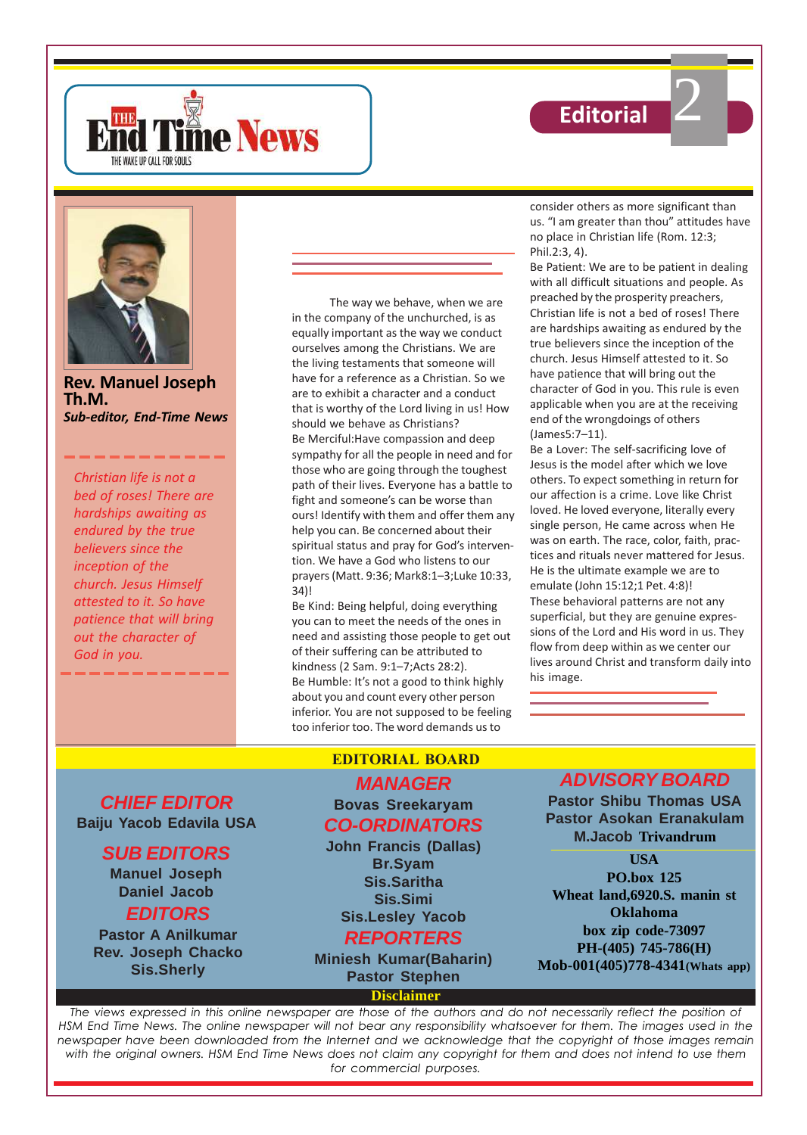





**Rev. Manuel Joseph Th.M.** *Sub-editor, End-Time News*

*Christian life is not a bed of roses! There are hardships awaiting as endured by the true believers since the inception of the church. Jesus Himself attested to it. So have patience that will bring out the character of God in you.*

The way we behave, when we are in the company of the unchurched, is as equally important as the way we conduct ourselves among the Christians. We are the living testaments that someone will have for a reference as a Christian. So we are to exhibit a character and a conduct that is worthy of the Lord living in us! How should we behave as Christians? Be Merciful:Have compassion and deep sympathy for all the people in need and for those who are going through the toughest path of their lives. Everyone has a battle to fight and someone's can be worse than ours! Identify with them and offer them any help you can. Be concerned about their spiritual status and pray for God's intervention. We have a God who listens to our prayers (Matt. 9:36; Mark8:1–3;Luke 10:33, 34)!

Be Kind: Being helpful, doing everything you can to meet the needs of the ones in need and assisting those people to get out of their suffering can be attributed to kindness (2 Sam. 9:1–7;Acts 28:2). Be Humble: It's not a good to think highly about you and count every other person inferior. You are not supposed to be feeling too inferior too. The word demands us to

consider others as more significant than us. "I am greater than thou" attitudes have no place in Christian life (Rom. 12:3; Phil.2:3, 4).

Be Patient: We are to be patient in dealing with all difficult situations and people. As preached by the prosperity preachers, Christian life is not a bed of roses! There are hardships awaiting as endured by the true believers since the inception of the church. Jesus Himself attested to it. So have patience that will bring out the character of God in you. This rule is even applicable when you are at the receiving end of the wrongdoings of others (James5:7–11).

Be a Lover: The self-sacrificing love of Jesus is the model after which we love others. To expect something in return for our affection is a crime. Love like Christ loved. He loved everyone, literally every single person, He came across when He was on earth. The race, color, faith, practices and rituals never mattered for Jesus. He is the ultimate example we are to emulate (John 15:12;1 Pet. 4:8)! These behavioral patterns are not any superficial, but they are genuine expressions of the Lord and His word in us. They flow from deep within as we center our lives around Christ and transform daily into his image.

**CHIEF EDITOR Baiju Yacob Edavila USA**

### **SUB EDITORS**

**Manuel Joseph Daniel Jacob EDITORS**

**Pastor A Anilkumar Rev. Joseph Chacko Sis.Sherly**

### **EDITORIAL BOARD**

### **MANAGER Bovas Sreekaryam**

**CO-ORDINATORS**

**John Francis (Dallas) Br.Syam Sis.Saritha Sis.Simi Sis.Lesley Yacob**

## **REPORTERS**

**Miniesh Kumar(Baharin) Pastor Stephen**

**Disclaimer**

### **ADVISORY BOARD**

**Pastor Shibu Thomas USA Pastor Asokan Eranakulam M.Jacob Trivandrum**

**USA PO.box 125 Wheat land,6920.S. manin st Oklahoma box zip code-73097 PH-(405) 745-786(H) Mob-001(405)778-4341(Whats app)**

*The views expressed in this online newspaper are those of the authors and do not necessarily reflect the position of HSM End Time News. The online newspaper will not bear any responsibility whatsoever for them. The images used in the newspaper have been downloaded from the Internet and we acknowledge that the copyright of those images remain with the original owners. HSM End Time News does not claim any copyright for them and does not intend to use them for commercial purposes.*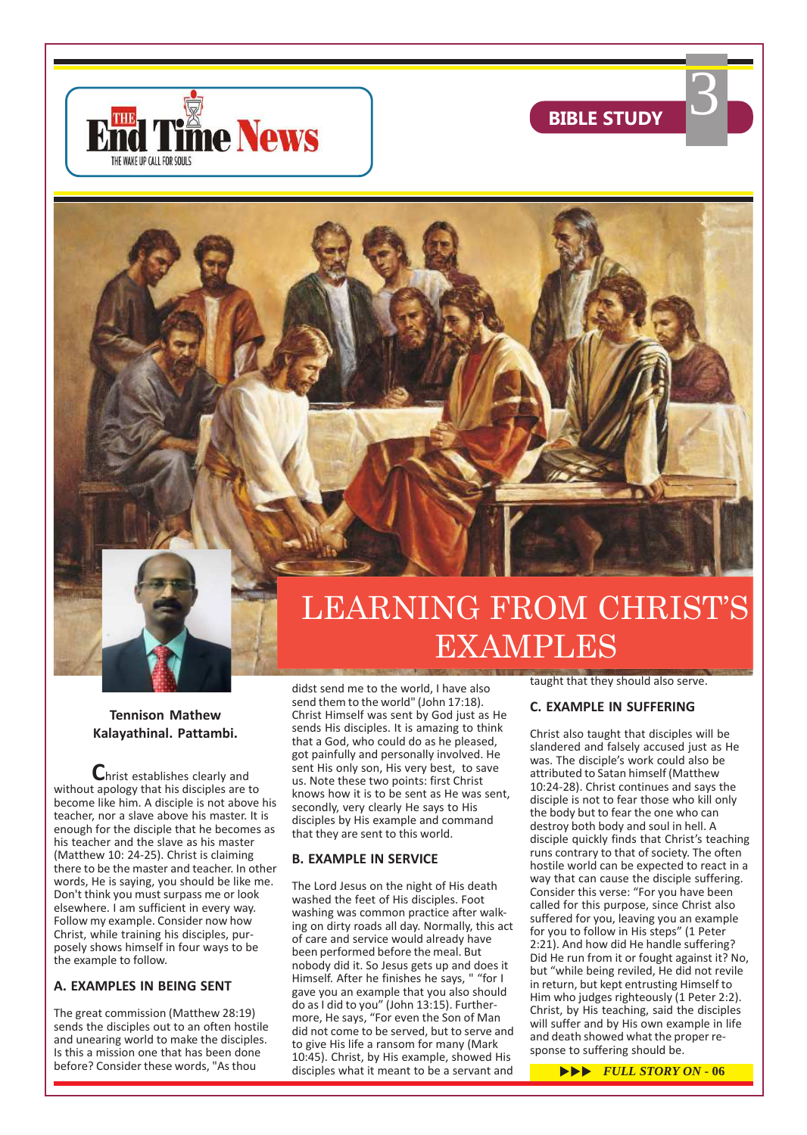



3



### **Tennison Mathew Kalayathinal. Pattambi.**

**C**hrist establishes clearly and without apology that his disciples are to become like him. A disciple is not above his teacher, nor a slave above his master. It is enough for the disciple that he becomes as his teacher and the slave as his master (Matthew 10: 24-25). Christ is claiming there to be the master and teacher. In other words, He is saying, you should be like me. Don't think you must surpass me or look elsewhere. I am sufficient in every way. Follow my example. Consider now how Christ, while training his disciples, purposely shows himself in four ways to be the example to follow.

### **A. EXAMPLES IN BEING SENT**

The great commission (Matthew 28:19) sends the disciples out to an often hostile and unearing world to make the disciples. Is this a mission one that has been done before? Consider these words, "As thou

didst send me to the world, I have also send them to the world" (John 17:18). Christ Himself was sent by God just as He sends His disciples. It is amazing to think that a God, who could do as he pleased, got painfully and personally involved. He sent His only son, His very best, to save us. Note these two points: first Christ knows how it is to be sent as He was sent, secondly, very clearly He says to His disciples by His example and command that they are sent to this world.

### **B. EXAMPLE IN SERVICE**

The Lord Jesus on the night of His death washed the feet of His disciples. Foot washing was common practice after walking on dirty roads all day. Normally, this act of care and service would already have been performed before the meal. But nobody did it. So Jesus gets up and does it Himself. After he finishes he says, " "for I gave you an example that you also should do as I did to you" (John 13:15). Furthermore, He says, "For even the Son of Man did not come to be served, but to serve and to give His life a ransom for many (Mark 10:45). Christ, by His example, showed His disciples what it meant to be a servant and **FULL STORY ON** - 06

taught that they should also serve.

EXAMPLES

### **C. EXAMPLE IN SUFFERING**

Christ also taught that disciples will be slandered and falsely accused just as He was. The disciple's work could also be attributed to Satan himself (Matthew 10:24-28). Christ continues and says the disciple is not to fear those who kill only the body but to fear the one who can destroy both body and soul in hell. A disciple quickly finds that Christ's teaching runs contrary to that of society. The often hostile world can be expected to react in a way that can cause the disciple suffering. Consider this verse: "For you have been called for this purpose, since Christ also suffered for you, leaving you an example for you to follow in His steps" (1 Peter 2:21). And how did He handle suffering? Did He run from it or fought against it? No, but "while being reviled, He did not revile in return, but kept entrusting Himself to Him who judges righteously (1 Peter 2:2). Christ, by His teaching, said the disciples will suffer and by His own example in life and death showed what the proper response to suffering should be.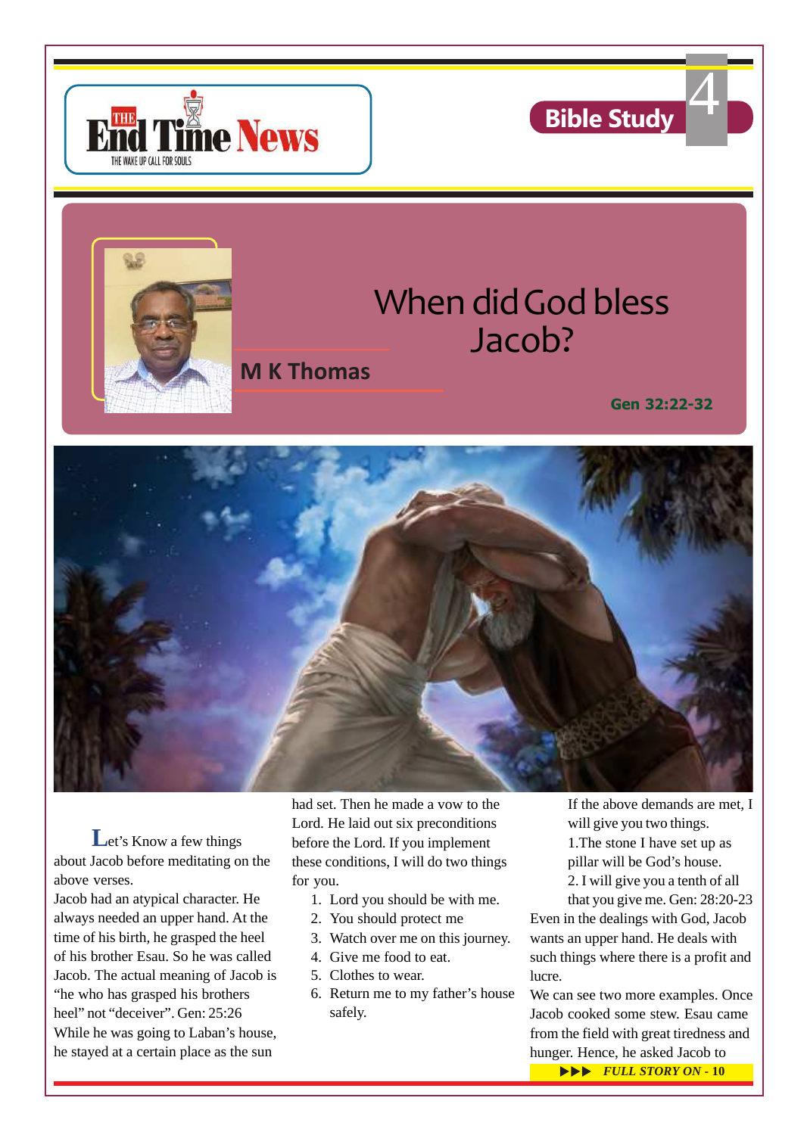





# When did God bless Jacob?

# **M K Thomas**

**Gen 32:22-32**



Let's Know a few things about Jacob before meditating on the above verses.

Jacob had an atypical character. He always needed an upper hand. At the time of his birth, he grasped the heel of his brother Esau. So he was called Jacob. The actual meaning of Jacob is "he who has grasped his brothers heel" not "deceiver". Gen: 25:26 While he was going to Laban's house, he stayed at a certain place as the sun

had set. Then he made a vow to the Lord. He laid out six preconditions before the Lord. If you implement these conditions, I will do two things for you.

- 1. Lord you should be with me.
- 2. You should protect me
- 3. Watch over me on this journey.
- 4. Give me food to eat.
- 5. Clothes to wear.
- 6. Return me to my father's house safely.

If the above demands are met, I will give you two things. 1.The stone I have set up as pillar will be God's house. 2. I will give you a tenth of all

that you give me. Gen: 28:20-23

Even in the dealings with God, Jacob wants an upper hand. He deals with such things where there is a profit and lucre.

We can see two more examples. Once Jacob cooked some stew. Esau came from the field with great tiredness and hunger. Hence, he asked Jacob to

**EVLL STORY ON - 10**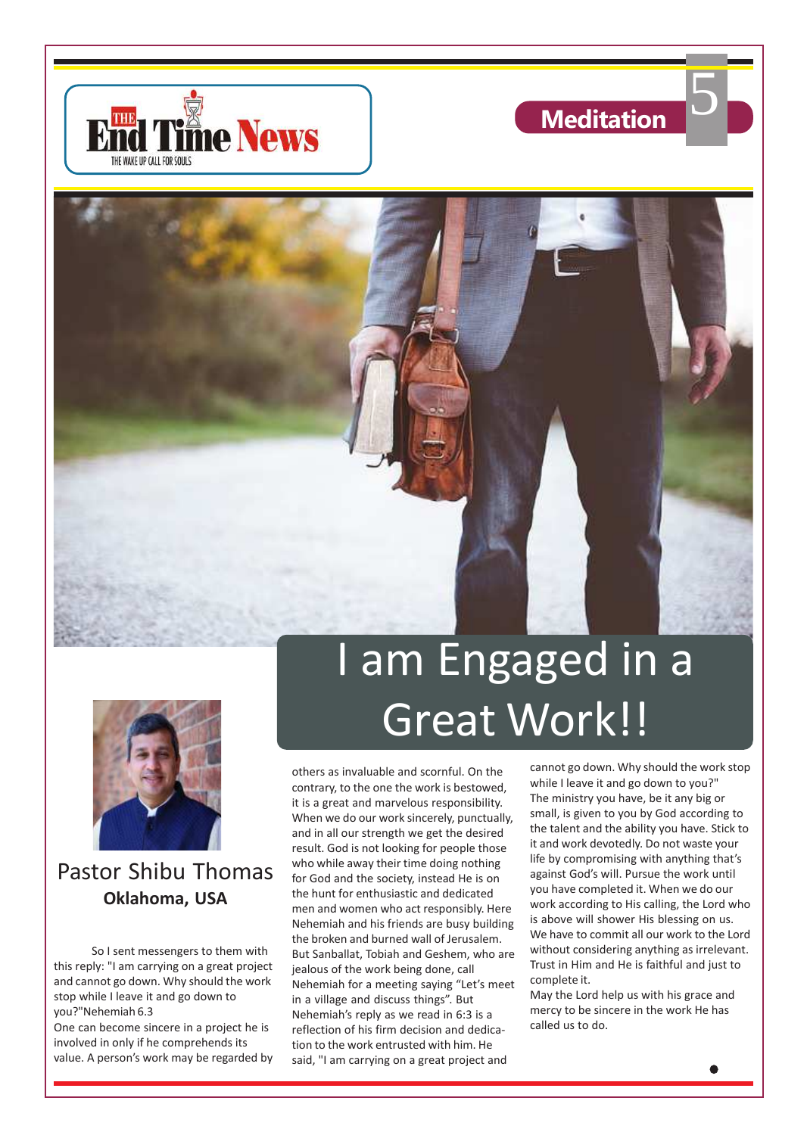



5





Pastor Shibu Thomas **Oklahoma, USA**

So I sent messengers to them with this reply: "I am carrying on a great project and cannot go down. Why should the work stop while I leave it and go down to you?"Nehemiah 6.3

One can become sincere in a project he is involved in only if he comprehends its value. A person's work may be regarded by

# I am Engaged in a Great Work!!

others as invaluable and scornful. On the contrary, to the one the work is bestowed, it is a great and marvelous responsibility. When we do our work sincerely, punctually, and in all our strength we get the desired result. God is not looking for people those who while away their time doing nothing for God and the society, instead He is on the hunt for enthusiastic and dedicated men and women who act responsibly. Here Nehemiah and his friends are busy building the broken and burned wall of Jerusalem. But Sanballat, Tobiah and Geshem, who are jealous of the work being done, call Nehemiah for a meeting saying "Let's meet in a village and discuss things". But Nehemiah's reply as we read in 6:3 is a reflection of his firm decision and dedication to the work entrusted with him. He said, "I am carrying on a great project and

cannot go down. Why should the work stop while I leave it and go down to you?" The ministry you have, be it any big or small, is given to you by God according to the talent and the ability you have. Stick to it and work devotedly. Do not waste your life by compromising with anything that's against God's will. Pursue the work until you have completed it. When we do our work according to His calling, the Lord who is above will shower His blessing on us. We have to commit all our work to the Lord without considering anything as irrelevant. Trust in Him and He is faithful and just to complete it.

May the Lord help us with his grace and mercy to be sincere in the work He has called us to do.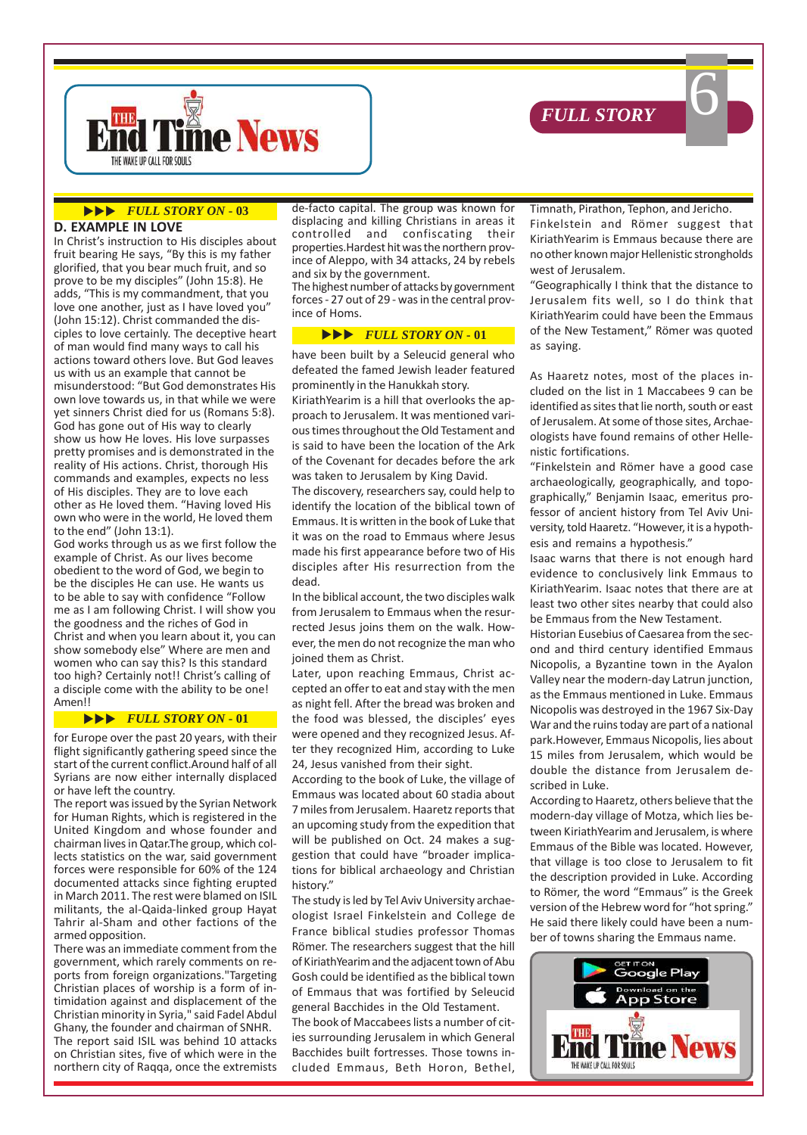



#### **UPPERTALL STORY ON - 03**

### **D. EXAMPLE IN LOVE**

In Christ's instruction to His disciples about fruit bearing He says, "By this is my father glorified, that you bear much fruit, and so prove to be my disciples" (John 15:8). He adds, "This is my commandment, that you love one another, just as I have loved you" (John 15:12). Christ commanded the disciples to love certainly. The deceptive heart of man would find many ways to call his actions toward others love. But God leaves us with us an example that cannot be misunderstood: "But God demonstrates His own love towards us, in that while we were yet sinners Christ died for us (Romans 5:8). God has gone out of His way to clearly show us how He loves. His love surpasses pretty promises and is demonstrated in the reality of His actions. Christ, thorough His commands and examples, expects no less of His disciples. They are to love each other as He loved them. "Having loved His own who were in the world, He loved them to the end" (John 13:1).

God works through us as we first follow the example of Christ. As our lives become obedient to the word of God, we begin to be the disciples He can use. He wants us to be able to say with confidence "Follow me as I am following Christ. I will show you the goodness and the riches of God in Christ and when you learn about it, you can show somebody else" Where are men and women who can say this? Is this standard too high? Certainly not!! Christ's calling of a disciple come with the ability to be one! Amen!!

### $\blacktriangleright\blacktriangleright\blacktriangleright$  *FULL STORY ON* - 01

for Europe over the past 20 years, with their flight significantly gathering speed since the start of the current conflict.Around half of all Syrians are now either internally displaced or have left the country.

The report was issued by the Syrian Network for Human Rights, which is registered in the United Kingdom and whose founder and chairman lives in Qatar.The group, which collects statistics on the war, said government forces were responsible for 60% of the 124 documented attacks since fighting erupted in March 2011. The rest were blamed on ISIL militants, the al-Qaida-linked group Hayat Tahrir al-Sham and other factions of the armed opposition.

There was an immediate comment from the government, which rarely comments on reports from foreign organizations."Targeting Christian places of worship is a form of intimidation against and displacement of the Christian minority in Syria," said Fadel Abdul Ghany, the founder and chairman of SNHR. The report said ISIL was behind 10 attacks on Christian sites, five of which were in the northern city of Raqqa, once the extremists

de-facto capital. The group was known for displacing and killing Christians in areas it controlled and confiscating their properties.Hardest hit was the northern province of Aleppo, with 34 attacks, 24 by rebels and six by the government.

The highest number of attacks by government forces - 27 out of 29 - was in the central province of Homs.

#### $\blacktriangleright\blacktriangleright\blacktriangleright$  *FULL STORY ON* - 01

have been built by a Seleucid general who defeated the famed Jewish leader featured prominently in the Hanukkah story.

KiriathYearim is a hill that overlooks the approach to Jerusalem. It was mentioned various times throughout the Old Testament and is said to have been the location of the Ark of the Covenant for decades before the ark was taken to Jerusalem by King David.

The discovery, researchers say, could help to identify the location of the biblical town of Emmaus. It is written in the book of Luke that it was on the road to Emmaus where Jesus made his first appearance before two of His disciples after His resurrection from the dead.

In the biblical account, the two disciples walk from Jerusalem to Emmaus when the resurrected Jesus joins them on the walk. However, the men do not recognize the man who joined them as Christ.

Later, upon reaching Emmaus, Christ accepted an offer to eat and stay with the men as night fell. After the bread was broken and the food was blessed, the disciples' eyes were opened and they recognized Jesus. After they recognized Him, according to Luke 24, Jesus vanished from their sight.

According to the book of Luke, the village of Emmaus was located about 60 stadia about 7 miles from Jerusalem. Haaretz reports that an upcoming study from the expedition that will be published on Oct. 24 makes a suggestion that could have "broader implications for biblical archaeology and Christian history."

The study is led by Tel Aviv University archaeologist Israel Finkelstein and College de France biblical studies professor Thomas Römer. The researchers suggest that the hill of KiriathYearim and the adjacent town of Abu Gosh could be identified as the biblical town of Emmaus that was fortified by Seleucid general Bacchides in the Old Testament.

The book of Maccabees lists a number of cities surrounding Jerusalem in which General Bacchides built fortresses. Those towns included Emmaus, Beth Horon, Bethel,

Timnath, Pirathon, Tephon, and Jericho. Finkelstein and Römer suggest that KiriathYearim is Emmaus because there are no other known major Hellenistic strongholds west of Jerusalem.

6

"Geographically I think that the distance to Jerusalem fits well, so I do think that KiriathYearim could have been the Emmaus of the New Testament," Römer was quoted as saying.

As Haaretz notes, most of the places included on the list in 1 Maccabees 9 can be identified as sites that lie north, south or east of Jerusalem. At some of those sites, Archaeologists have found remains of other Hellenistic fortifications.

"Finkelstein and Römer have a good case archaeologically, geographically, and topographically," Benjamin Isaac, emeritus professor of ancient history from Tel Aviv University, told Haaretz. "However, it is a hypothesis and remains a hypothesis."

Isaac warns that there is not enough hard evidence to conclusively link Emmaus to KiriathYearim. Isaac notes that there are at least two other sites nearby that could also be Emmaus from the New Testament.

Historian Eusebius of Caesarea from the second and third century identified Emmaus Nicopolis, a Byzantine town in the Ayalon Valley near the modern-day Latrun junction, as the Emmaus mentioned in Luke. Emmaus Nicopolis was destroyed in the 1967 Six-Day War and the ruins today are part of a national park.However, Emmaus Nicopolis, lies about 15 miles from Jerusalem, which would be double the distance from Jerusalem described in Luke.

According to Haaretz, others believe that the modern-day village of Motza, which lies between KiriathYearim and Jerusalem, is where Emmaus of the Bible was located. However, that village is too close to Jerusalem to fit the description provided in Luke. According to Römer, the word "Emmaus" is the Greek version of the Hebrew word for "hot spring." He said there likely could have been a number of towns sharing the Emmaus name.

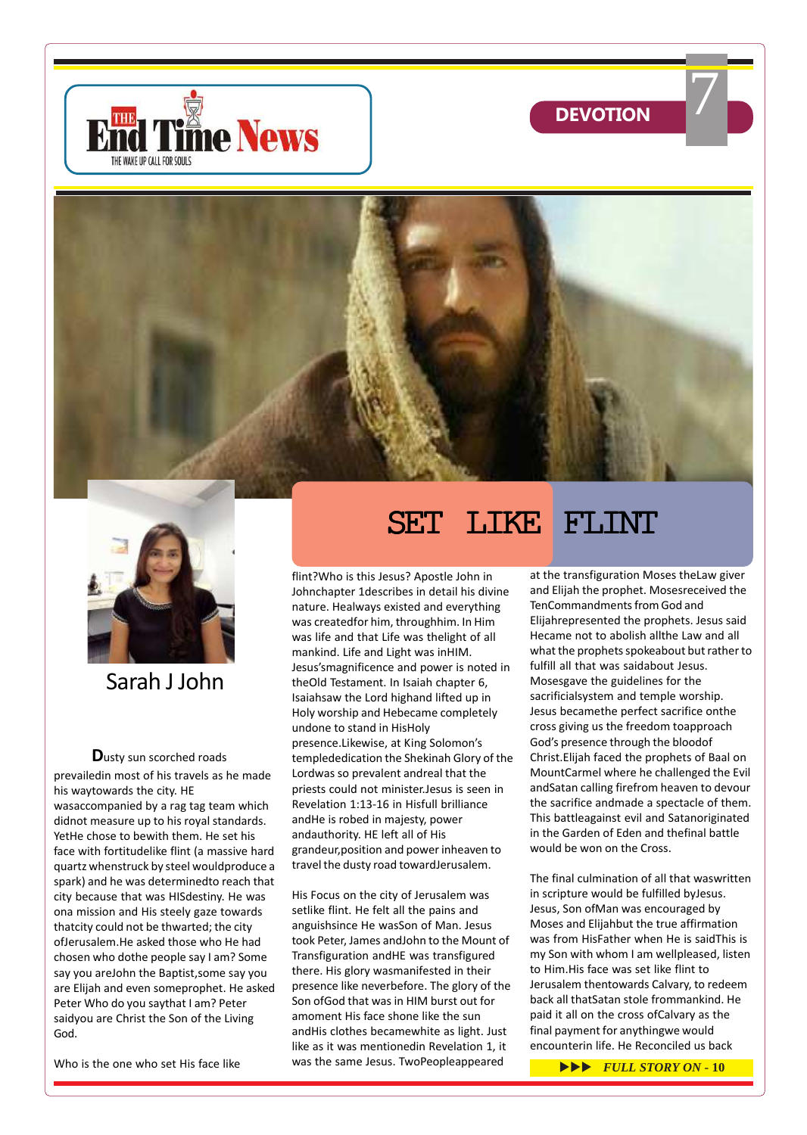







Sarah J John

**D**usty sun scorched roads prevailedin most of his travels as he made his waytowards the city. HE wasaccompanied by a rag tag team which didnot measure up to his royal standards. YetHe chose to bewith them. He set his face with fortitudelike flint (a massive hard quartz whenstruck by steel wouldproduce a spark) and he was determinedto reach that city because that was HISdestiny. He was ona mission and His steely gaze towards thatcity could not be thwarted; the city ofJerusalem.He asked those who He had chosen who dothe people say I am? Some say you areJohn the Baptist,some say you are Elijah and even someprophet. He asked Peter Who do you saythat I am? Peter saidyou are Christ the Son of the Living God.

Who is the one who set His face like

# SET LIKE FLINT

flint?Who is this Jesus? Apostle John in Johnchapter 1describes in detail his divine nature. Healways existed and everything was createdfor him, throughhim. In Him was life and that Life was thelight of all mankind. Life and Light was inHIM. Jesus'smagnificence and power is noted in theOld Testament. In Isaiah chapter 6, Isaiahsaw the Lord highand lifted up in Holy worship and Hebecame completely undone to stand in HisHoly presence.Likewise, at King Solomon's templededication the Shekinah Glory of the Lordwas so prevalent andreal that the priests could not minister.Jesus is seen in Revelation 1:13-16 in Hisfull brilliance andHe is robed in majesty, power andauthority. HE left all of His grandeur,position and power inheaven to travel the dusty road towardJerusalem.

His Focus on the city of Jerusalem was setlike flint. He felt all the pains and anguishsince He wasSon of Man. Jesus took Peter, James andJohn to the Mount of Transfiguration andHE was transfigured there. His glory wasmanifested in their presence like neverbefore. The glory of the Son ofGod that was in HIM burst out for amoment His face shone like the sun andHis clothes becamewhite as light. Just like as it was mentionedin Revelation 1, it was the same Jesus. TwoPeopleappeared

at the transfiguration Moses theLaw giver and Elijah the prophet. Mosesreceived the TenCommandments from God and Elijahrepresented the prophets. Jesus said Hecame not to abolish allthe Law and all what the prophets spokeabout but rather to fulfill all that was saidabout Jesus. Mosesgave the guidelines for the sacrificialsystem and temple worship. Jesus becamethe perfect sacrifice onthe cross giving us the freedom toapproach God's presence through the bloodof Christ.Elijah faced the prophets of Baal on MountCarmel where he challenged the Evil andSatan calling firefrom heaven to devour the sacrifice andmade a spectacle of them. This battleagainst evil and Satanoriginated in the Garden of Eden and thefinal battle would be won on the Cross.

The final culmination of all that waswritten in scripture would be fulfilled byJesus. Jesus, Son ofMan was encouraged by Moses and Elijahbut the true affirmation was from HisFather when He is saidThis is my Son with whom I am wellpleased, listen to Him.His face was set like flint to Jerusalem thentowards Calvary, to redeem back all thatSatan stole frommankind. He paid it all on the cross ofCalvary as the final payment for anythingwe would encounterin life. He Reconciled us back

 $\blacktriangleright\blacktriangleright\blacktriangleright$  *FULL STORY ON* - 10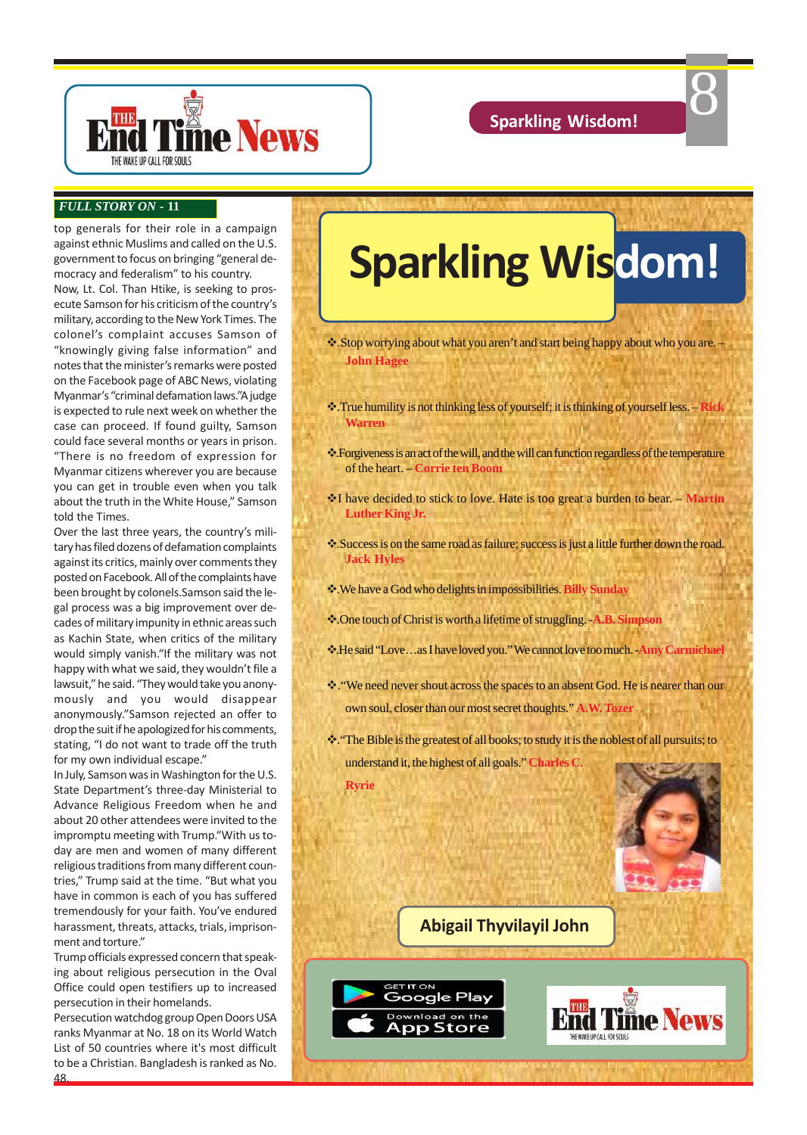8



### *FULL STORY ON* **- 11**

top generals for their role in a campaign against ethnic Muslims and called on the U.S. government to focus on bringing "general democracy and federalism" to his country.

Now, Lt. Col. Than Htike, is seeking to prosecute Samson for his criticism of the country's military, according to the New York Times. The colonel's complaint accuses Samson of "knowingly giving false information" and notes that the minister's remarks were posted on the Facebook page of ABC News, violating Myanmar's "criminal defamation laws."A judge is expected to rule next week on whether the case can proceed. If found guilty, Samson could face several months or years in prison. "There is no freedom of expression for Myanmar citizens wherever you are because you can get in trouble even when you talk about the truth in the White House," Samson told the Times.

Over the last three years, the country's military has filed dozens of defamation complaints against its critics, mainly over comments they posted on Facebook. All of the complaints have been brought by colonels.Samson said the legal process was a big improvement over decades of military impunity in ethnic areas such as Kachin State, when critics of the military would simply vanish."If the military was not happy with what we said, they wouldn't file a lawsuit," he said. "They would take you anonymously and you would disappear anonymously."Samson rejected an offer to drop the suit if he apologized for his comments, stating, "I do not want to trade off the truth for my own individual escape."

In July, Samson was in Washington for the U.S. State Department's three-day Ministerial to Advance Religious Freedom when he and about 20 other attendees were invited to the impromptu meeting with Trump."With us today are men and women of many different religious traditions from many different countries," Trump said at the time. "But what you have in common is each of you has suffered tremendously for your faith. You've endured harassment, threats, attacks, trials, imprisonment and torture."

Trump officials expressed concern that speaking about religious persecution in the Oval Office could open testifiers up to increased persecution in their homelands.

Persecution watchdog group Open Doors USA ranks Myanmar at No. 18 on its World Watch List of 50 countries where it's most difficult to be a Christian. Bangladesh is ranked as No.

48.

# **Sparkling Wisdom!**

\* Stop worrying about what you aren't and start being happy about who you are. **John Hagee**

- v.True humility is not thinking less of yourself; it is thinking of yourself less. **Rick Warren**
- v.Forgiveness is an act of the will, and the will can function regardless of the temperature of the heart. – **Corrie ten Boom**
- vI have decided to stick to love. Hate is too great a burden to bear. **Martin Luther King Jr.**
- v.Success is on the same road as failure; success is just a little further down the road. **Jack Hyles**
- v.We have a God who delights in impossibilities. **Billy Sunday**
- v.One touch of Christ is worth a lifetime of struggling. -**A.B. Simpson**
- v.He said "Love…as I have loved you." We cannot love too much. -**Amy Carmichael**
- v."We need never shout across the spaces to an absent God. He is nearer than our own soul, closer than our most secret thoughts." **A.W. Tozer**
- \*\*: "The Bible is the greatest of all books; to study it is the noblest of all pursuits; to understand it, the highest of all goals." **Charles C. Ryrie**

**Abigail Thyvilayil John**

**GET IT ON** 

Google Play Download on the App Store

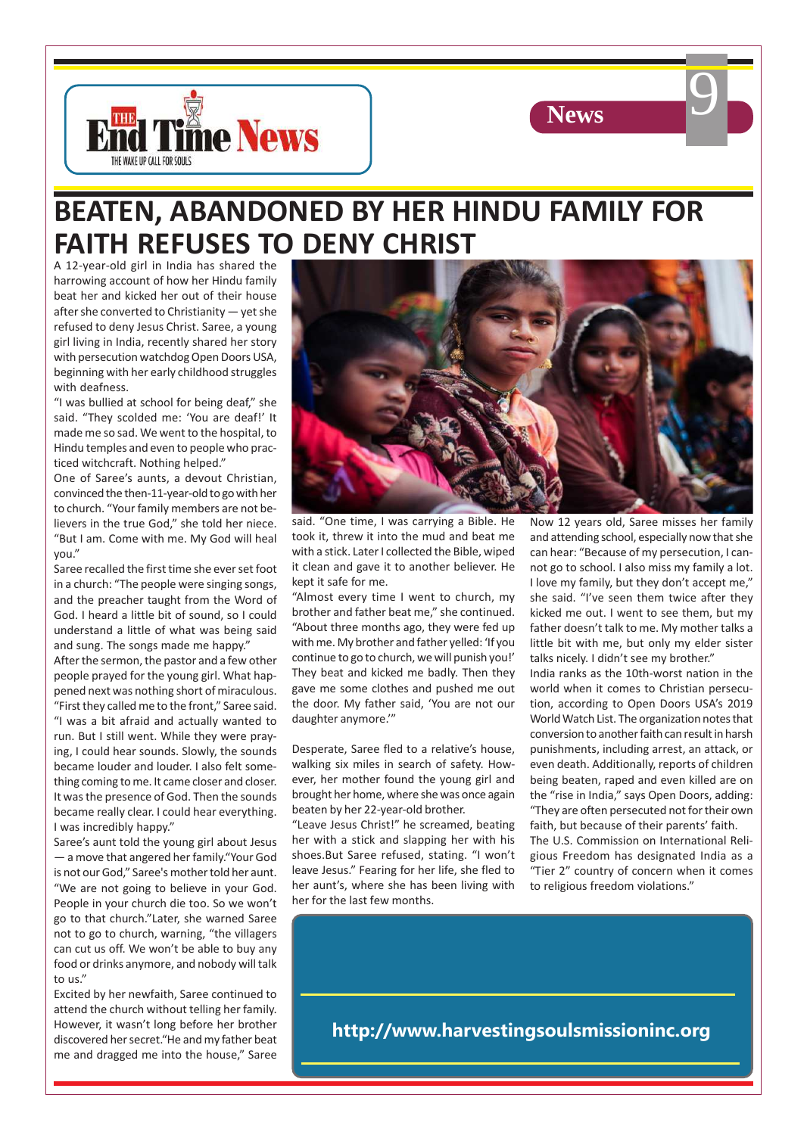



# **BEATEN, ABANDONED BY HER HINDU FAMILY FOR FAITH REFUSES TO DENY CHRIST**

A 12-year-old girl in India has shared the harrowing account of how her Hindu family beat her and kicked her out of their house after she converted to Christianity — yet she refused to deny Jesus Christ. Saree, a young girl living in India, recently shared her story with persecution watchdog Open Doors USA, beginning with her early childhood struggles with deafness.

"I was bullied at school for being deaf," she said. "They scolded me: 'You are deaf!' It made me so sad. We went to the hospital, to Hindu temples and even to people who practiced witchcraft. Nothing helped."

One of Saree's aunts, a devout Christian, convinced the then-11-year-old to go with her to church. "Your family members are not believers in the true God," she told her niece. "But I am. Come with me. My God will heal you."

Saree recalled the first time she ever set foot in a church: "The people were singing songs, and the preacher taught from the Word of God. I heard a little bit of sound, so I could understand a little of what was being said and sung. The songs made me happy."

After the sermon, the pastor and a few other people prayed for the young girl. What happened next was nothing short of miraculous. "First they called me to the front," Saree said. "I was a bit afraid and actually wanted to run. But I still went. While they were praying, I could hear sounds. Slowly, the sounds became louder and louder. I also felt something coming to me. It came closer and closer. It was the presence of God. Then the sounds became really clear. I could hear everything. I was incredibly happy."

Saree's aunt told the young girl about Jesus — a move that angered her family."Your God is not our God," Saree's mother told her aunt. "We are not going to believe in your God. People in your church die too. So we won't go to that church."Later, she warned Saree not to go to church, warning, "the villagers can cut us off. We won't be able to buy any food or drinks anymore, and nobody will talk to us."

Excited by her newfaith, Saree continued to attend the church without telling her family. However, it wasn't long before her brother discovered her secret."He and my father beat me and dragged me into the house," Saree



said. "One time, I was carrying a Bible. He took it, threw it into the mud and beat me with a stick. Later I collected the Bible, wiped it clean and gave it to another believer. He kept it safe for me.

"Almost every time I went to church, my brother and father beat me," she continued. "About three months ago, they were fed up with me. My brother and father yelled: 'If you continue to go to church, we will punish you!' They beat and kicked me badly. Then they gave me some clothes and pushed me out the door. My father said, 'You are not our daughter anymore.'"

Desperate, Saree fled to a relative's house, walking six miles in search of safety. However, her mother found the young girl and brought her home, where she was once again beaten by her 22-year-old brother.

"Leave Jesus Christ!" he screamed, beating her with a stick and slapping her with his shoes.But Saree refused, stating. "I won't leave Jesus." Fearing for her life, she fled to her aunt's, where she has been living with her for the last few months.

Now 12 years old, Saree misses her family and attending school, especially now that she can hear: "Because of my persecution, I cannot go to school. I also miss my family a lot. I love my family, but they don't accept me," she said. "I've seen them twice after they kicked me out. I went to see them, but my father doesn't talk to me. My mother talks a little bit with me, but only my elder sister talks nicely. I didn't see my brother."

India ranks as the 10th-worst nation in the world when it comes to Christian persecution, according to Open Doors USA's 2019 World Watch List. The organization notes that conversion to another faith can result in harsh punishments, including arrest, an attack, or even death. Additionally, reports of children being beaten, raped and even killed are on the "rise in India," says Open Doors, adding: "They are often persecuted not for their own faith, but because of their parents' faith. The U.S. Commission on International Religious Freedom has designated India as a "Tier 2" country of concern when it comes

to religious freedom violations."

**http://www.harvestingsoulsmissioninc.org**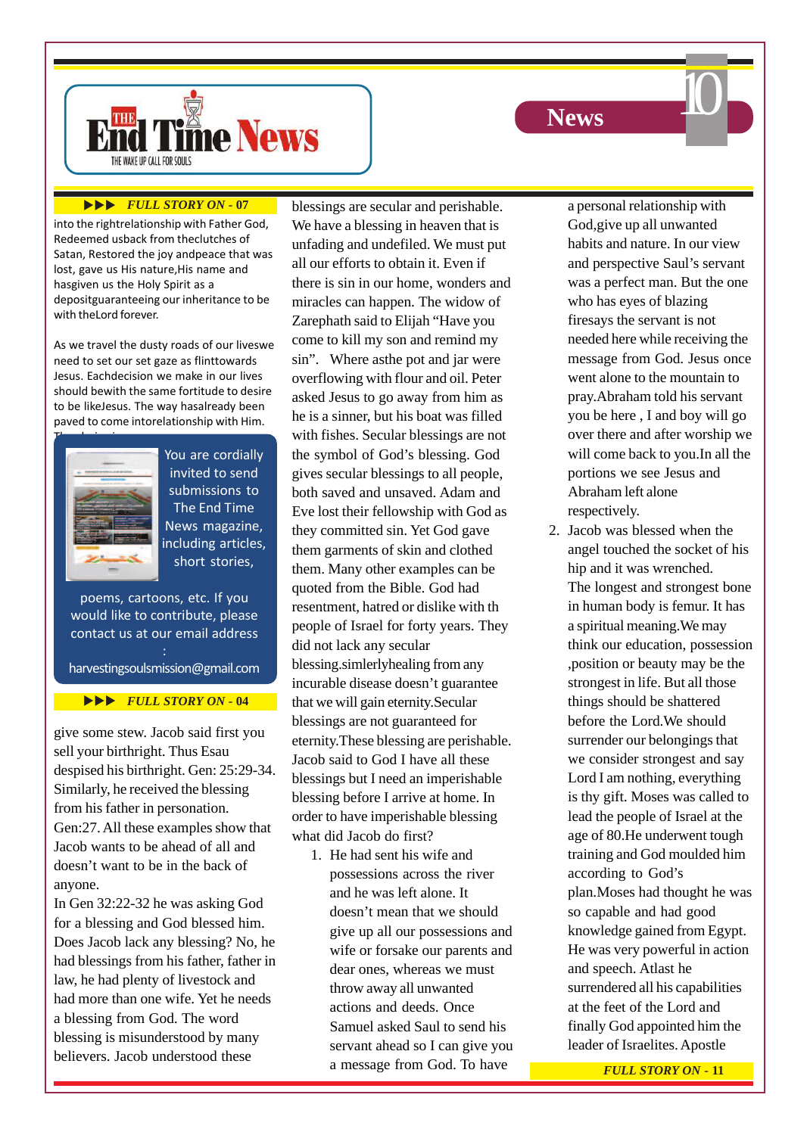



### **EVLL STORY ON - 07**

into the rightrelationship with Father God, Redeemed usback from theclutches of Satan, Restored the joy andpeace that was lost, gave us His nature, His name and hasgiven us the Holy Spirit as a depositguaranteeing our inheritance to be with theLord forever.

As we travel the dusty roads of our liveswe need to set our set gaze as flinttowards Jesus. Eachdecision we make in our lives should bewith the same fortitude to desire to be likeJesus. The way hasalready been paved to come intorelationship with Him.



You are cordially invited to send submissions to The End Time News magazine, including articles, short stories,

poems, cartoons, etc. If you would like to contribute, please contact us at our email address :

harvestingsoulsmission@gmail.com

### **EVALL STORY ON - 04**

give some stew. Jacob said first you sell your birthright. Thus Esau despised his birthright. Gen: 25:29-34. Similarly, he received the blessing from his father in personation. Gen:27. All these examples show that Jacob wants to be ahead of all and doesn't want to be in the back of anyone.

In Gen 32:22-32 he was asking God for a blessing and God blessed him. Does Jacob lack any blessing? No, he had blessings from his father, father in law, he had plenty of livestock and had more than one wife. Yet he needs a blessing from God. The word blessing is misunderstood by many believers. Jacob understood these

blessings are secular and perishable. We have a blessing in heaven that is unfading and undefiled. We must put all our efforts to obtain it. Even if there is sin in our home, wonders and miracles can happen. The widow of Zarephath said to Elijah "Have you come to kill my son and remind my sin". Where asthe pot and jar were overflowing with flour and oil. Peter asked Jesus to go away from him as he is a sinner, but his boat was filled with fishes. Secular blessings are not the symbol of God's blessing. God gives secular blessings to all people, both saved and unsaved. Adam and Eve lost their fellowship with God as they committed sin. Yet God gave them garments of skin and clothed them. Many other examples can be quoted from the Bible. God had resentment, hatred or dislike with th people of Israel for forty years. They did not lack any secular blessing.simlerlyhealing from any incurable disease doesn't guarantee that we will gain eternity.Secular blessings are not guaranteed for eternity.These blessing are perishable. Jacob said to God I have all these blessings but I need an imperishable blessing before I arrive at home. In order to have imperishable blessing what did Jacob do first?

1. He had sent his wife and possessions across the river and he was left alone. It doesn't mean that we should give up all our possessions and wife or forsake our parents and dear ones, whereas we must throw away all unwanted actions and deeds. Once Samuel asked Saul to send his servant ahead so I can give you a message from God. To have

a personal relationship with God,give up all unwanted habits and nature. In our view and perspective Saul's servant was a perfect man. But the one who has eyes of blazing firesays the servant is not needed here while receiving the message from God. Jesus once went alone to the mountain to pray.Abraham told his servant you be here , I and boy will go over there and after worship we will come back to you.In all the portions we see Jesus and Abraham left alone respectively.

2. Jacob was blessed when the angel touched the socket of his hip and it was wrenched. The longest and strongest bone in human body is femur. It has a spiritual meaning.We may think our education, possession ,position or beauty may be the strongest in life. But all those things should be shattered before the Lord.We should surrender our belongings that we consider strongest and say Lord I am nothing, everything is thy gift. Moses was called to lead the people of Israel at the age of 80.He underwent tough training and God moulded him according to God's plan.Moses had thought he was so capable and had good knowledge gained from Egypt. He was very powerful in action and speech. Atlast he surrendered all his capabilities at the feet of the Lord and finally God appointed him the leader of Israelites. Apostle

*FULL STORY ON* **- 11**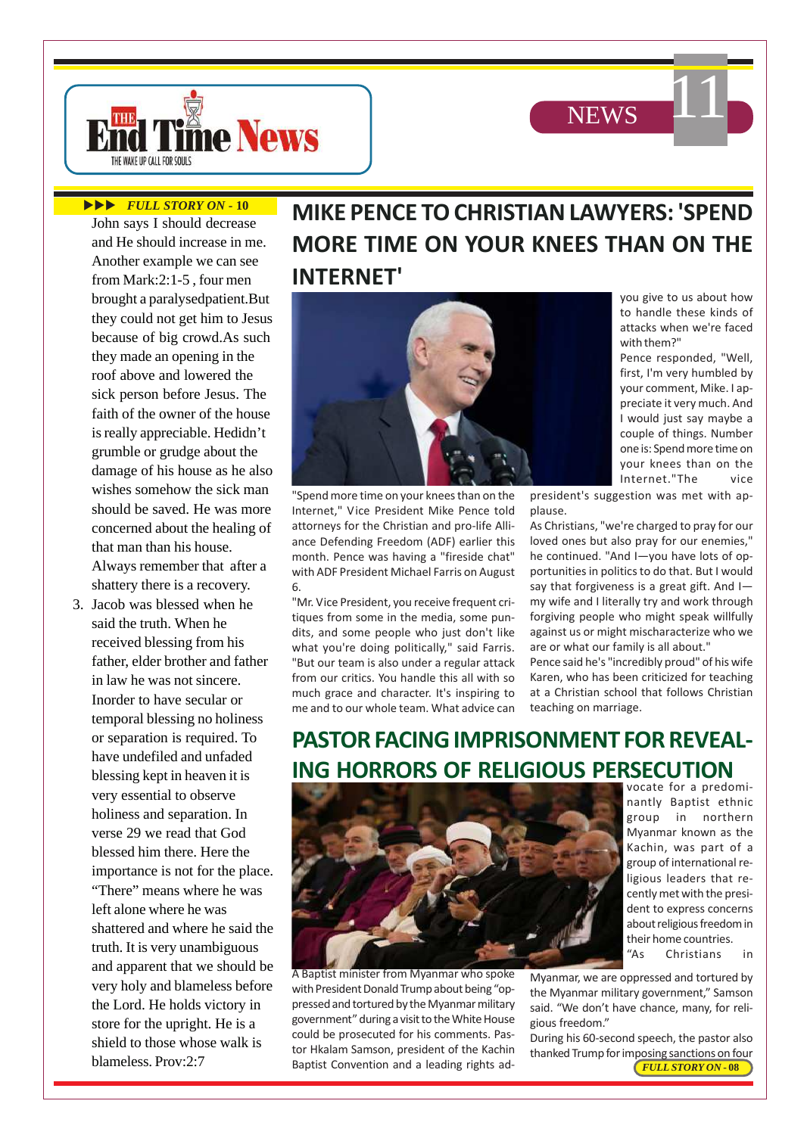



### **EVLL STORY ON - 10**

John says I should decrease and He should increase in me. Another example we can see from Mark:2:1-5 , four men brought a paralysedpatient.But they could not get him to Jesus because of big crowd.As such they made an opening in the roof above and lowered the sick person before Jesus. The faith of the owner of the house is really appreciable. Hedidn't grumble or grudge about the damage of his house as he also wishes somehow the sick man should be saved. He was more concerned about the healing of that man than his house. Always remember that after a shattery there is a recovery.

3. Jacob was blessed when he said the truth. When he received blessing from his father, elder brother and father in law he was not sincere. Inorder to have secular or temporal blessing no holiness or separation is required. To have undefiled and unfaded blessing kept in heaven it is very essential to observe holiness and separation. In verse 29 we read that God blessed him there. Here the importance is not for the place. "There" means where he was left alone where he was shattered and where he said the truth. It is very unambiguous and apparent that we should be very holy and blameless before the Lord. He holds victory in store for the upright. He is a shield to those whose walk is blameless. Prov:2:7

# **MIKE PENCE TO CHRISTIAN LAWYERS: 'SPEND MORE TIME ON YOUR KNEES THAN ON THE INTERNET'**



"Spend more time on your knees than on the Internet," Vice President Mike Pence told attorneys for the Christian and pro-life Alliance Defending Freedom (ADF) earlier this month. Pence was having a "fireside chat" with ADF President Michael Farris on August 6.

"Mr. Vice President, you receive frequent critiques from some in the media, some pundits, and some people who just don't like what you're doing politically," said Farris. "But our team is also under a regular attack from our critics. You handle this all with so much grace and character. It's inspiring to me and to our whole team. What advice can

you give to us about how to handle these kinds of attacks when we're faced with them?"

Pence responded, "Well, first, I'm very humbled by your comment, Mike. I appreciate it very much. And I would just say maybe a couple of things. Number one is: Spend more time on your knees than on the Internet."The vice

president's suggestion was met with applause.

As Christians, "we're charged to pray for our loved ones but also pray for our enemies," he continued. "And I—you have lots of opportunities in politics to do that. But I would say that forgiveness is a great gift. And I my wife and I literally try and work through forgiving people who might speak willfully against us or might mischaracterize who we are or what our family is all about."

Pence said he's "incredibly proud" of his wife Karen, who has been criticized for teaching at a Christian school that follows Christian teaching on marriage.

# **PASTOR FACING IMPRISONMENT FOR REVEAL-ING HORRORS OF RELIGIOUS PERSECUTION**



A Baptist minister from Myanmar who spoke with President Donald Trump about being "oppressed and tortured by the Myanmar military government" during a visit to the White House could be prosecuted for his comments. Pastor Hkalam Samson, president of the Kachin Baptist Convention and a leading rights advocate for a predominantly Baptist ethnic group in northern Myanmar known as the Kachin, was part of a group of international religious leaders that recently met with the president to express concerns about religious freedom in their home countries.

"As Christians in

Myanmar, we are oppressed and tortured by the Myanmar military government," Samson said. "We don't have chance, many, for religious freedom."

*FULL STORY ON* **- 08** During his 60-second speech, the pastor also thanked Trump for imposing sanctions on four